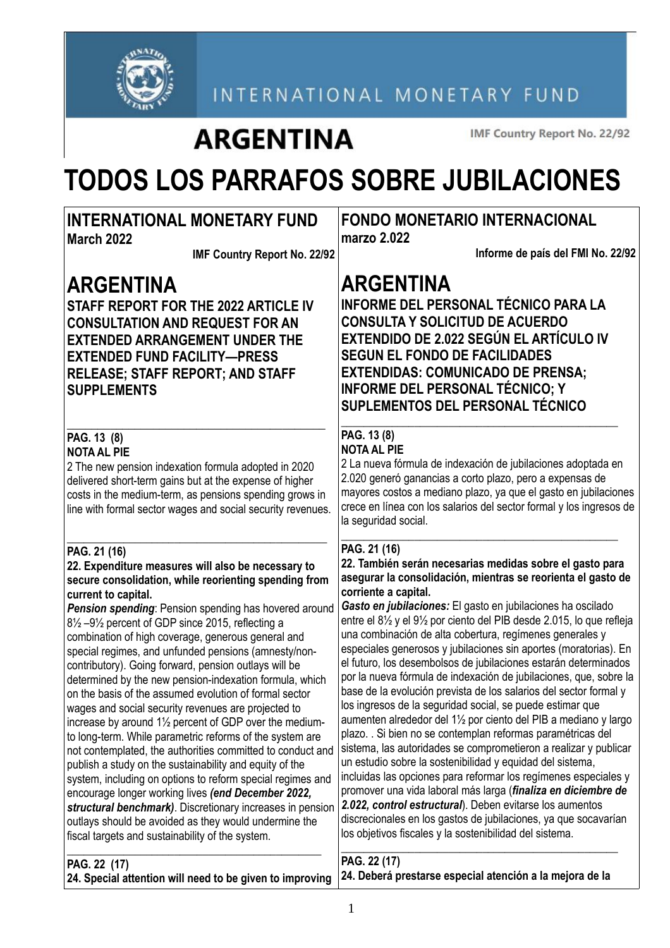

INTERNATIONAL MONETARY FUND

## **ARGENTINA**

IMF Country Report No. 22/92

# **TODOS LOS PARRAFOS SOBRE JUBILACIONES**

#### **INTERNATIONAL MONETARY FUND March 2022 IMF Country Report No. 22/92 ARGENTINA STAFF REPORT FOR THE 2022 ARTICLE IV CONSULTATION AND REQUEST FOR AN EXTENDED ARRANGEMENT UNDER THE EXTENDED FUND FACILITY—PRESS RELEASE; STAFF REPORT; AND STAFF SUPPLEMENTS**  $\_$  . The set of the set of the set of the set of the set of the set of the set of the set of the set of the set of the set of the set of the set of the set of the set of the set of the set of the set of the set of the se **PAG. 13 (8) NOTA AL PIE** 2 The new pension indexation formula adopted in 2020 delivered short-term gains but at the expense of higher costs in the medium-term, as pensions spending grows in line with formal sector wages and social security revenues. \_\_\_\_\_\_\_\_\_\_\_\_\_\_\_\_\_\_\_\_\_\_\_\_\_\_\_\_\_\_\_\_\_\_\_\_\_\_\_\_\_\_\_\_\_\_ **PAG. 21 (16) 22. Expenditure measures will also be necessary to secure consolidation, while reorienting spending from current to capital. Pension spending**: Pension spending has hovered around 8½ –9½ percent of GDP since 2015, reflecting a combination of high coverage, generous general and special regimes, and unfunded pensions (amnesty/noncontributory). Going forward, pension outlays will be determined by the new pension-indexation formula, which on the basis of the assumed evolution of formal sector wages and social security revenues are projected to increase by around 1½ percent of GDP over the mediumto long-term. While parametric reforms of the system are not contemplated, the authorities committed to conduct and publish a study on the sustainability and equity of the system, including on options to reform special regimes and encourage longer working lives *(end December 2022, structural benchmark)*. Discretionary increases in pension outlays should be avoided as they would undermine the fiscal targets and sustainability of the system. \_\_\_\_\_\_\_\_\_\_\_\_\_\_\_\_\_\_\_\_\_\_\_\_\_\_\_\_\_\_\_\_\_\_\_\_\_\_\_\_\_\_\_\_\_ **FONDO MONETARIO INTERNACIONAL marzo 2.022 Informe de país del FMI No. 22/92 ARGENTINA INFORME DEL PERSONAL TÉCNICO PARA LA CONSULTA Y SOLICITUD DE ACUERDO EXTENDIDO DE 2.022 SEGÚN EL ARTÍCULO IV SEGUN EL FONDO DE FACILIDADES EXTENDIDAS: COMUNICADO DE PRENSA; INFORME DEL PERSONAL TÉCNICO; Y SUPLEMENTOS DEL PERSONAL TÉCNICO** \_\_\_\_\_\_\_\_\_\_\_\_\_\_\_\_\_\_\_\_\_\_\_\_\_\_\_\_\_\_\_\_\_\_\_\_\_\_\_\_\_\_\_\_\_\_\_\_\_ **PAG. 13 (8) NOTA AL PIE** 2 La nueva fórmula de indexación de jubilaciones adoptada en 2.020 generó ganancias a corto plazo, pero a expensas de mayores costos a mediano plazo, ya que el gasto en jubilaciones crece en línea con los salarios del sector formal y los ingresos de la seguridad social. \_\_\_\_\_\_\_\_\_\_\_\_\_\_\_\_\_\_\_\_\_\_\_\_\_\_\_\_\_\_\_\_\_\_\_\_\_\_\_\_\_\_\_\_\_\_\_\_\_ **PAG. 21 (16) 22. También serán necesarias medidas sobre el gasto para asegurar la consolidación, mientras se reorienta el gasto de corriente a capital.** *Gasto en jubilaciones:* El gasto en jubilaciones ha oscilado entre el 8½ y el 9½ por ciento del PIB desde 2.015, lo que refleja una combinación de alta cobertura, regímenes generales y especiales generosos y jubilaciones sin aportes (moratorias). En el futuro, los desembolsos de jubilaciones estarán determinados por la nueva fórmula de indexación de jubilaciones, que, sobre la base de la evolución prevista de los salarios del sector formal y los ingresos de la seguridad social, se puede estimar que aumenten alrededor del 1½ por ciento del PIB a mediano y largo plazo. . Si bien no se contemplan reformas paramétricas del sistema, las autoridades se comprometieron a realizar y publicar un estudio sobre la sostenibilidad y equidad del sistema, incluidas las opciones para reformar los regímenes especiales y promover una vida laboral más larga (*finaliza en diciembre de 2.022, control estructural*). Deben evitarse los aumentos discrecionales en los gastos de jubilaciones, ya que socavarían los objetivos fiscales y la sostenibilidad del sistema. \_\_\_\_\_\_\_\_\_\_\_\_\_\_\_\_\_\_\_\_\_\_\_\_\_\_\_\_\_\_\_\_\_\_\_\_\_\_\_\_\_\_\_\_\_\_\_\_\_ **PAG. 22 (17)**

**PAG. 22 (17)**

**24. Special attention will need to be given to improving 24. Deberá prestarse especial atención a la mejora de la**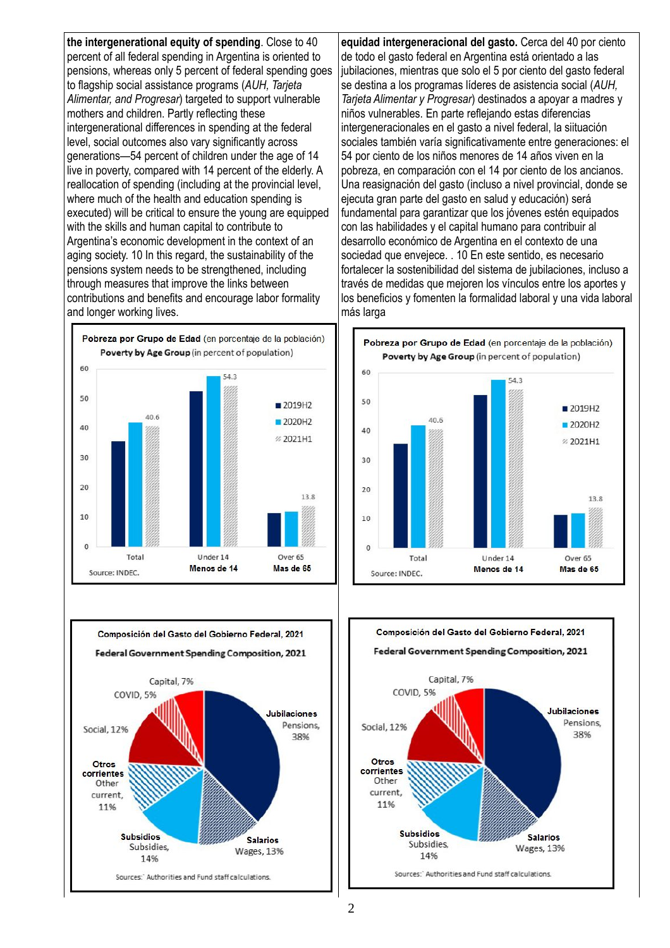**the intergenerational equity of spending**. Close to 40 percent of all federal spending in Argentina is oriented to pensions, whereas only 5 percent of federal spending goes to flagship social assistance programs (*AUH, Tarjeta Alimentar, and Progresar*) targeted to support vulnerable mothers and children. Partly reflecting these intergenerational differences in spending at the federal level, social outcomes also vary significantly across generations—54 percent of children under the age of 14 live in poverty, compared with 14 percent of the elderly. A reallocation of spending (including at the provincial level, where much of the health and education spending is executed) will be critical to ensure the young are equipped with the skills and human capital to contribute to Argentina's economic development in the context of an aging society. 10 In this regard, the sustainability of the pensions system needs to be strengthened, including through measures that improve the links between contributions and benefits and encourage labor formality and longer working lives.





**equidad intergeneracional del gasto.** Cerca del 40 por ciento de todo el gasto federal en Argentina está orientado a las jubilaciones, mientras que solo el 5 por ciento del gasto federal se destina a los programas líderes de asistencia social (*AUH, Tarjeta Alimentar y Progresar*) destinados a apoyar a madres y niños vulnerables. En parte reflejando estas diferencias intergeneracionales en el gasto a nivel federal, la siituación sociales también varía significativamente entre generaciones: el 54 por ciento de los niños menores de 14 años viven en la pobreza, en comparación con el 14 por ciento de los ancianos. Una reasignación del gasto (incluso a nivel provincial, donde se ejecuta gran parte del gasto en salud y educación) será fundamental para garantizar que los jóvenes estén equipados con las habilidades y el capital humano para contribuir al desarrollo económico de Argentina en el contexto de una sociedad que envejece. . 10 En este sentido, es necesario fortalecer la sostenibilidad del sistema de jubilaciones, incluso a través de medidas que mejoren los vínculos entre los aportes y los beneficios y fomenten la formalidad laboral y una vida laboral más larga



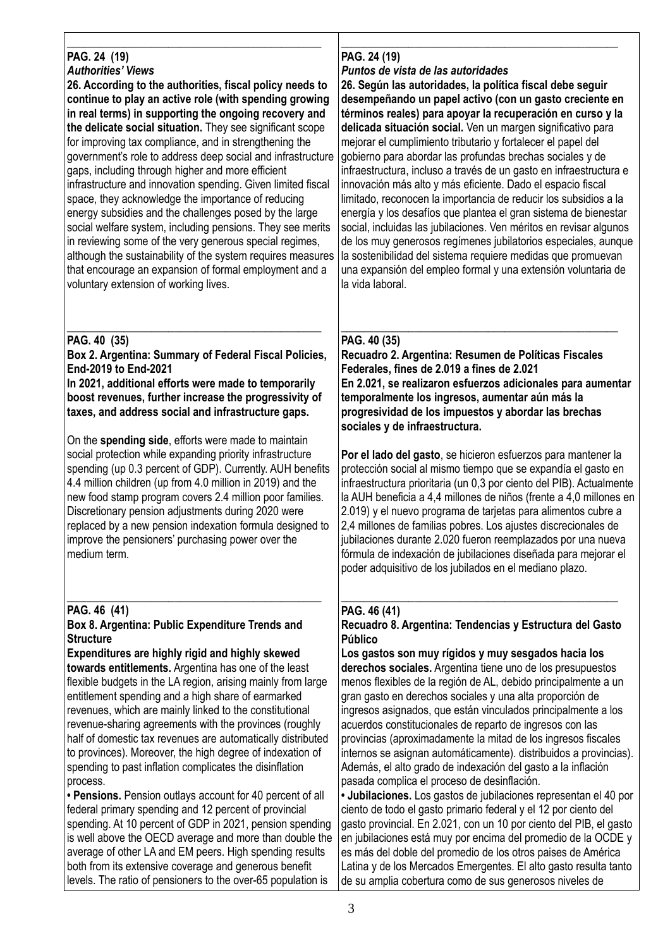#### \_\_\_\_\_\_\_\_\_\_\_\_\_\_\_\_\_\_\_\_\_\_\_\_\_\_\_\_\_\_\_\_\_\_\_\_\_\_\_\_\_\_\_\_\_ **PAG. 24 (19)** *Authorities' Views*

**26. According to the authorities, fiscal policy needs to continue to play an active role (with spending growing in real terms) in supporting the ongoing recovery and the delicate social situation.** They see significant scope for improving tax compliance, and in strengthening the government's role to address deep social and infrastructure gaps, including through higher and more efficient infrastructure and innovation spending. Given limited fiscal space, they acknowledge the importance of reducing energy subsidies and the challenges posed by the large social welfare system, including pensions. They see merits in reviewing some of the very generous special regimes, although the sustainability of the system requires measures that encourage an expansion of formal employment and a voluntary extension of working lives.

#### \_\_\_\_\_\_\_\_\_\_\_\_\_\_\_\_\_\_\_\_\_\_\_\_\_\_\_\_\_\_\_\_\_\_\_\_\_\_\_\_\_\_\_\_\_ **PAG. 40 (35)**

**Box 2. Argentina: Summary of Federal Fiscal Policies, End-2019 to End-2021**

**In 2021, additional efforts were made to temporarily boost revenues, further increase the progressivity of taxes, and address social and infrastructure gaps.** 

On the **spending side**, efforts were made to maintain social protection while expanding priority infrastructure spending (up 0.3 percent of GDP). Currently. AUH benefits 4.4 million children (up from 4.0 million in 2019) and the new food stamp program covers 2.4 million poor families. Discretionary pension adjustments during 2020 were replaced by a new pension indexation formula designed to improve the pensioners' purchasing power over the medium term.

#### \_\_\_\_\_\_\_\_\_\_\_\_\_\_\_\_\_\_\_\_\_\_\_\_\_\_\_\_\_\_\_\_\_\_\_\_\_\_\_\_\_\_\_\_\_ **PAG. 46 (41)**

#### **Box 8. Argentina: Public Expenditure Trends and Structure**

**Expenditures are highly rigid and highly skewed towards entitlements.** Argentina has one of the least flexible budgets in the LA region, arising mainly from large entitlement spending and a high share of earmarked revenues, which are mainly linked to the constitutional revenue-sharing agreements with the provinces (roughly half of domestic tax revenues are automatically distributed to provinces). Moreover, the high degree of indexation of spending to past inflation complicates the disinflation process.

**• Pensions.** Pension outlays account for 40 percent of all federal primary spending and 12 percent of provincial spending. At 10 percent of GDP in 2021, pension spending is well above the OECD average and more than double the average of other LA and EM peers. High spending results both from its extensive coverage and generous benefit levels. The ratio of pensioners to the over-65 population is

#### \_\_\_\_\_\_\_\_\_\_\_\_\_\_\_\_\_\_\_\_\_\_\_\_\_\_\_\_\_\_\_\_\_\_\_\_\_\_\_\_\_\_\_\_\_\_\_\_\_ **PAG. 24 (19)**

### *Puntos de vista de las autoridades*

**26. Según las autoridades, la política fiscal debe seguir desempeñando un papel activo (con un gasto creciente en términos reales) para apoyar la recuperación en curso y la delicada situación social.** Ven un margen significativo para mejorar el cumplimiento tributario y fortalecer el papel del gobierno para abordar las profundas brechas sociales y de infraestructura, incluso a través de un gasto en infraestructura e innovación más alto y más eficiente. Dado el espacio fiscal limitado, reconocen la importancia de reducir los subsidios a la energía y los desafíos que plantea el gran sistema de bienestar social, incluidas las jubilaciones. Ven méritos en revisar algunos de los muy generosos regímenes jubilatorios especiales, aunque la sostenibilidad del sistema requiere medidas que promuevan una expansión del empleo formal y una extensión voluntaria de la vida laboral.

#### \_\_\_\_\_\_\_\_\_\_\_\_\_\_\_\_\_\_\_\_\_\_\_\_\_\_\_\_\_\_\_\_\_\_\_\_\_\_\_\_\_\_\_\_\_\_\_\_\_ **PAG. 40 (35)**

**Recuadro 2. Argentina: Resumen de Políticas Fiscales Federales, fines de 2.019 a fines de 2.021 En 2.021, se realizaron esfuerzos adicionales para aumentar temporalmente los ingresos, aumentar aún más la progresividad de los impuestos y abordar las brechas sociales y de infraestructura.**

**Por el lado del gasto**, se hicieron esfuerzos para mantener la protección social al mismo tiempo que se expandía el gasto en infraestructura prioritaria (un 0,3 por ciento del PIB). Actualmente la AUH beneficia a 4,4 millones de niños (frente a 4,0 millones en 2.019) y el nuevo programa de tarjetas para alimentos cubre a 2,4 millones de familias pobres. Los ajustes discrecionales de jubilaciones durante 2.020 fueron reemplazados por una nueva fórmula de indexación de jubilaciones diseñada para mejorar el poder adquisitivo de los jubilados en el mediano plazo.

#### \_\_\_\_\_\_\_\_\_\_\_\_\_\_\_\_\_\_\_\_\_\_\_\_\_\_\_\_\_\_\_\_\_\_\_\_\_\_\_\_\_\_\_\_\_\_\_\_\_ **PAG. 46 (41)**

#### **Recuadro 8. Argentina: Tendencias y Estructura del Gasto Público**

**Los gastos son muy rígidos y muy sesgados hacia los derechos sociales.** Argentina tiene uno de los presupuestos menos flexibles de la región de AL, debido principalmente a un gran gasto en derechos sociales y una alta proporción de ingresos asignados, que están vinculados principalmente a los acuerdos constitucionales de reparto de ingresos con las provincias (aproximadamente la mitad de los ingresos fiscales internos se asignan automáticamente). distribuidos a provincias). Además, el alto grado de indexación del gasto a la inflación pasada complica el proceso de desinflación.

**• Jubilaciones.** Los gastos de jubilaciones representan el 40 por ciento de todo el gasto primario federal y el 12 por ciento del gasto provincial. En 2.021, con un 10 por ciento del PIB, el gasto en jubilaciones está muy por encima del promedio de la OCDE y es más del doble del promedio de los otros paises de América Latina y de los Mercados Emergentes. El alto gasto resulta tanto de su amplia cobertura como de sus generosos niveles de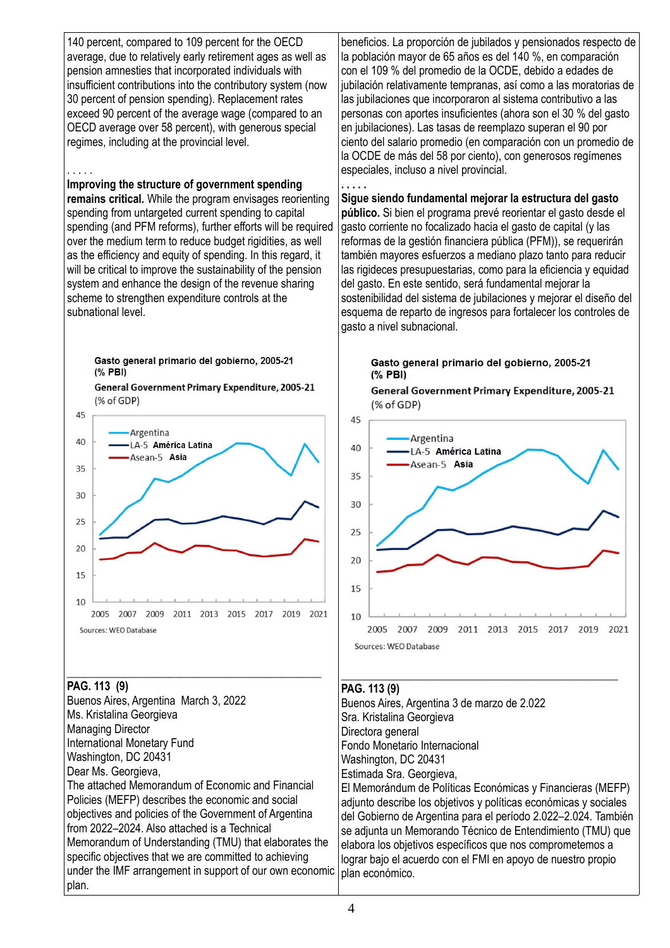140 percent, compared to 109 percent for the OECD average, due to relatively early retirement ages as well as pension amnesties that incorporated individuals with insufficient contributions into the contributory system (now 30 percent of pension spending). Replacement rates exceed 90 percent of the average wage (compared to an OECD average over 58 percent), with generous special regimes, including at the provincial level.

#### . . . . .

#### **Improving the structure of government spending**

**remains critical.** While the program envisages reorienting spending from untargeted current spending to capital spending (and PFM reforms), further efforts will be required over the medium term to reduce budget rigidities, as well as the efficiency and equity of spending. In this regard, it will be critical to improve the sustainability of the pension system and enhance the design of the revenue sharing scheme to strengthen expenditure controls at the subnational level.

#### Gasto general primario del gobierno, 2005-21  $(%$  PBI)

General Government Primary Expenditure, 2005-21 (% of GDP)



#### \_\_\_\_\_\_\_\_\_\_\_\_\_\_\_\_\_\_\_\_\_\_\_\_\_\_\_\_\_\_\_\_\_\_\_\_\_\_\_\_\_\_\_\_\_ **PAG. 113 (9)**

Buenos Aires, Argentina March 3, 2022 Ms. Kristalina Georgieva Managing Director International Monetary Fund Washington, DC 20431 Dear Ms. Georgieva. The attached Memorandum of Economic and Financial Policies (MEFP) describes the economic and social objectives and policies of the Government of Argentina from 2022–2024. Also attached is a Technical Memorandum of Understanding (TMU) that elaborates the specific objectives that we are committed to achieving under the IMF arrangement in support of our own economic plan.

beneficios. La proporción de jubilados y pensionados respecto de la población mayor de 65 años es del 140 %, en comparación con el 109 % del promedio de la OCDE, debido a edades de jubilación relativamente tempranas, así como a las moratorias de las jubilaciones que incorporaron al sistema contributivo a las personas con aportes insuficientes (ahora son el 30 % del gasto en jubilaciones). Las tasas de reemplazo superan el 90 por ciento del salario promedio (en comparación con un promedio de la OCDE de más del 58 por ciento), con generosos regímenes especiales, incluso a nivel provincial.

#### **Sigue siendo fundamental mejorar la estructura del gasto público.** Si bien el programa prevé reorientar el gasto desde el gasto corriente no focalizado hacia el gasto de capital (y las reformas de la gestión financiera pública (PFM)), se requerirán también mayores esfuerzos a mediano plazo tanto para reducir las rigideces presupuestarias, como para la eficiencia y equidad del gasto. En este sentido, será fundamental mejorar la sostenibilidad del sistema de jubilaciones y mejorar el diseño del esquema de reparto de ingresos para fortalecer los controles de gasto a nivel subnacional.

Gasto general primario del gobierno, 2005-21  $(%$  PBI)

General Government Primary Expenditure, 2005-21 (% of GDP)



#### \_\_\_\_\_\_\_\_\_\_\_\_\_\_\_\_\_\_\_\_\_\_\_\_\_\_\_\_\_\_\_\_\_\_\_\_\_\_\_\_\_\_\_\_\_\_\_\_\_ **PAG. 113 (9)**

**. . . . .**

Buenos Aires, Argentina 3 de marzo de 2.022 Sra. Kristalina Georgieva Directora general Fondo Monetario Internacional Washington, DC 20431 Estimada Sra. Georgieva, El Memorándum de Políticas Económicas y Financieras (MEFP) adjunto describe los objetivos y políticas económicas y sociales del Gobierno de Argentina para el período 2.022–2.024. También se adjunta un Memorando Técnico de Entendimiento (TMU) que elabora los objetivos específicos que nos comprometemos a lograr bajo el acuerdo con el FMI en apoyo de nuestro propio plan económico.